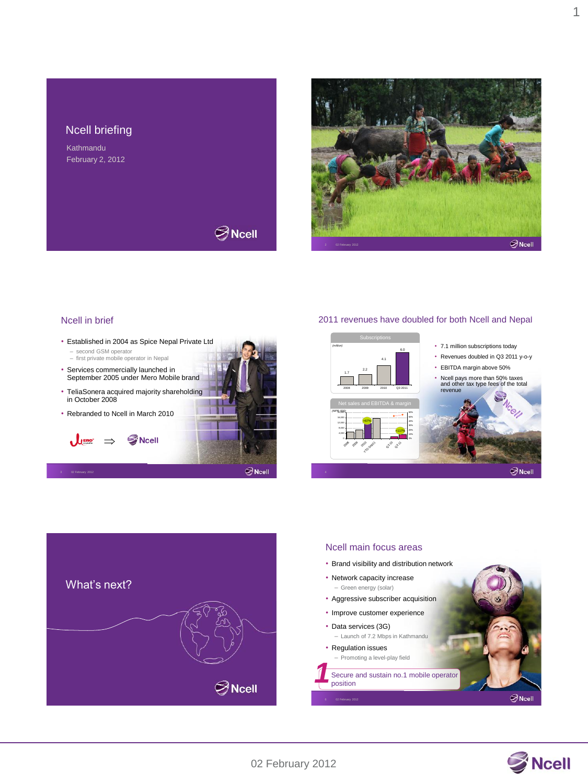# Ncell briefing

Kathmandu February 2, 2012



 $\bigotimes$ Ncell

#### Ncell in brief

3 02 February 2012

- Established in 2004 as Spice Nepal Private Ltd
- second GSM operator first private mobile operator in Nepal
- Services commercially launched in September 2005 under Mero Mobile brand
- TeliaSonera acquired majority shareholding in October 2008
- Rebranded to Ncell in March 2010

 $\mathcal{L}$  and  $\Rightarrow$  S Noell



#### 2011 revenues have doubled for both Ncell and Nepal